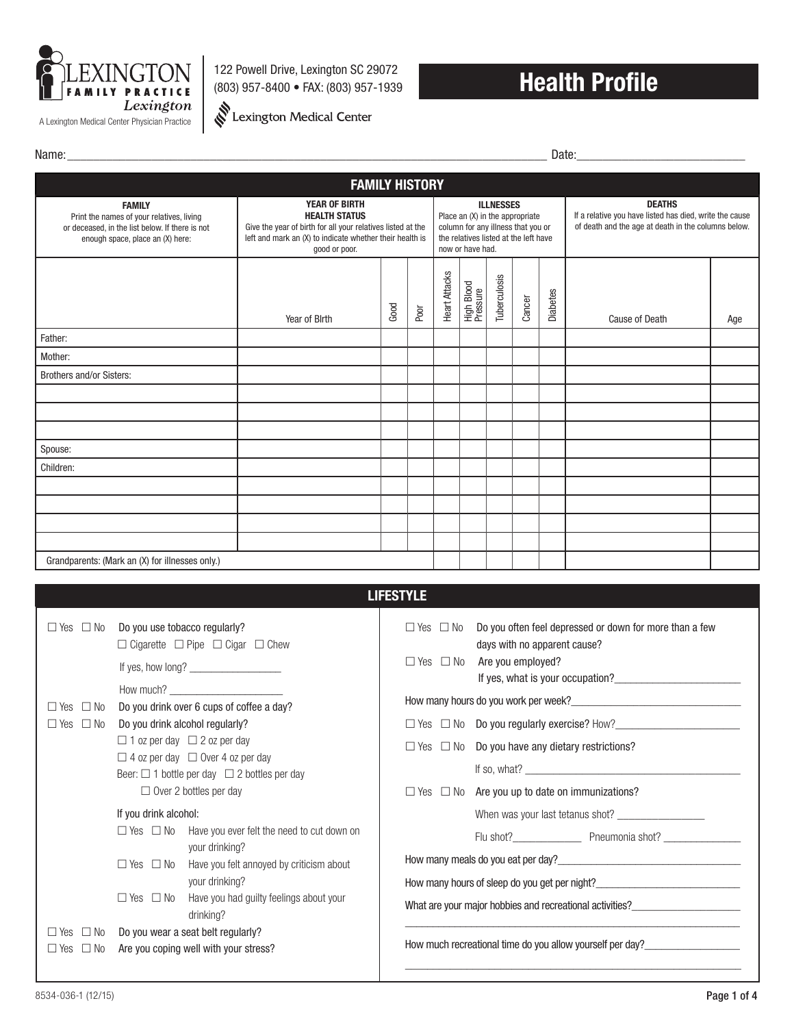

122 Powell Drive, Lexington SC 29072 (803) 957-8400 • FAX: (803) 957-1939

Lexington Medical Center

## **Health Profile**

Name:\_\_\_\_\_\_\_\_\_\_\_\_\_\_\_\_\_\_\_\_\_\_\_\_\_\_\_\_\_\_\_\_\_\_\_\_\_\_\_\_\_\_\_\_\_\_\_\_\_\_\_\_\_\_\_\_\_\_\_\_\_\_\_\_\_\_\_\_\_\_\_\_\_\_ Date:\_\_\_\_\_\_\_\_\_\_\_\_\_\_\_\_\_\_\_\_\_\_\_\_\_\_

| <b>FAMILY HISTORY</b>                                                                                                                             |                                                                                                                                                                                          |      |      |                                                                                                                                                        |                        |              |                                                                                                                                 |                 |                |     |
|---------------------------------------------------------------------------------------------------------------------------------------------------|------------------------------------------------------------------------------------------------------------------------------------------------------------------------------------------|------|------|--------------------------------------------------------------------------------------------------------------------------------------------------------|------------------------|--------------|---------------------------------------------------------------------------------------------------------------------------------|-----------------|----------------|-----|
| <b>FAMILY</b><br>Print the names of your relatives, living<br>or deceased, in the list below. If there is not<br>enough space, place an (X) here: | <b>YEAR OF BIRTH</b><br><b>HEALTH STATUS</b><br>Give the year of birth for all your relatives listed at the<br>left and mark an (X) to indicate whether their health is<br>good or poor. |      |      | <b>ILLNESSES</b><br>Place an (X) in the appropriate<br>column for any illness that you or<br>the relatives listed at the left have<br>now or have had. |                        |              | <b>DEATHS</b><br>If a relative you have listed has died, write the cause<br>of death and the age at death in the columns below. |                 |                |     |
|                                                                                                                                                   | Year of Birth                                                                                                                                                                            | Good | Poor | Heart Attacks                                                                                                                                          | High Blood<br>Pressure | Tuberculosis | Cancer                                                                                                                          | <b>Diabetes</b> | Cause of Death | Age |
| Father:                                                                                                                                           |                                                                                                                                                                                          |      |      |                                                                                                                                                        |                        |              |                                                                                                                                 |                 |                |     |
| Mother:                                                                                                                                           |                                                                                                                                                                                          |      |      |                                                                                                                                                        |                        |              |                                                                                                                                 |                 |                |     |
| <b>Brothers and/or Sisters:</b>                                                                                                                   |                                                                                                                                                                                          |      |      |                                                                                                                                                        |                        |              |                                                                                                                                 |                 |                |     |
|                                                                                                                                                   |                                                                                                                                                                                          |      |      |                                                                                                                                                        |                        |              |                                                                                                                                 |                 |                |     |
|                                                                                                                                                   |                                                                                                                                                                                          |      |      |                                                                                                                                                        |                        |              |                                                                                                                                 |                 |                |     |
|                                                                                                                                                   |                                                                                                                                                                                          |      |      |                                                                                                                                                        |                        |              |                                                                                                                                 |                 |                |     |
| Spouse:                                                                                                                                           |                                                                                                                                                                                          |      |      |                                                                                                                                                        |                        |              |                                                                                                                                 |                 |                |     |
| Children:                                                                                                                                         |                                                                                                                                                                                          |      |      |                                                                                                                                                        |                        |              |                                                                                                                                 |                 |                |     |
|                                                                                                                                                   |                                                                                                                                                                                          |      |      |                                                                                                                                                        |                        |              |                                                                                                                                 |                 |                |     |
|                                                                                                                                                   |                                                                                                                                                                                          |      |      |                                                                                                                                                        |                        |              |                                                                                                                                 |                 |                |     |
|                                                                                                                                                   |                                                                                                                                                                                          |      |      |                                                                                                                                                        |                        |              |                                                                                                                                 |                 |                |     |
|                                                                                                                                                   |                                                                                                                                                                                          |      |      |                                                                                                                                                        |                        |              |                                                                                                                                 |                 |                |     |
| Grandparents: (Mark an (X) for illnesses only.)                                                                                                   |                                                                                                                                                                                          |      |      |                                                                                                                                                        |                        |              |                                                                                                                                 |                 |                |     |

|                                                                                                                                                      | <b>LIFESTYLE</b>                                                                                                                                                                                                                                                                                |
|------------------------------------------------------------------------------------------------------------------------------------------------------|-------------------------------------------------------------------------------------------------------------------------------------------------------------------------------------------------------------------------------------------------------------------------------------------------|
| $\Box$ Yes $\Box$ No<br>Do you use tobacco regularly?<br>$\Box$ Cigarette $\Box$ Pipe $\Box$ Cigar $\Box$ Chew<br>How much? $\overline{\phantom{a}}$ | Do you often feel depressed or down for more than a few<br>$\Box$ Yes $\Box$ No<br>days with no apparent cause?<br>$\Box$ Yes $\Box$ No Are you employed?                                                                                                                                       |
| Do you drink over 6 cups of coffee a day?<br>$\Box$ Yes $\Box$ No                                                                                    |                                                                                                                                                                                                                                                                                                 |
| Do you drink alcohol regularly?<br>$\Box$ Yes $\Box$ No                                                                                              |                                                                                                                                                                                                                                                                                                 |
| $\Box$ 1 oz per day $\Box$ 2 oz per day<br>$\Box$ 4 oz per day $\Box$ Over 4 oz per day<br>Beer: $\Box$ 1 bottle per day $\Box$ 2 bottles per day    | $\Box$ Yes $\Box$ No Do you have any dietary restrictions?<br>If so, what? $\frac{1}{2}$ is a set of the set of the set of the set of the set of the set of the set of the set of the set of the set of the set of the set of the set of the set of the set of the set of the set of the set of |
| $\Box$ Over 2 bottles per day                                                                                                                        | $\Box$ Yes $\Box$ No Are you up to date on immunizations?                                                                                                                                                                                                                                       |
| If you drink alcohol:                                                                                                                                |                                                                                                                                                                                                                                                                                                 |
| $\Box$ Yes $\Box$ No Have you ever felt the need to cut down on<br>your drinking?                                                                    | Flu shot? <b>Market Elizabeth Preumonia shot? Preumonia shot? Preumonia shot? Preumonia shot? Preumonia shot? Preumonia shot? Preumonia shot? Preumonia shot? Preumonia shot? Preumonia shot? Preumonia shot</b>                                                                                |
| $\Box$ Yes $\Box$ No Have you felt annoyed by criticism about                                                                                        |                                                                                                                                                                                                                                                                                                 |
| your drinking?                                                                                                                                       | How many hours of sleep do you get per night?___________________________________                                                                                                                                                                                                                |
| $\Box$ Yes $\Box$ No Have you had guilty feelings about your<br>drinking?                                                                            |                                                                                                                                                                                                                                                                                                 |
| Do you wear a seat belt regularly?<br>$\Box$ Yes $\Box$ No<br>Are you coping well with your stress?<br>$\Box$ Yes $\Box$ No                          | How much recreational time do you allow yourself per day?                                                                                                                                                                                                                                       |
|                                                                                                                                                      |                                                                                                                                                                                                                                                                                                 |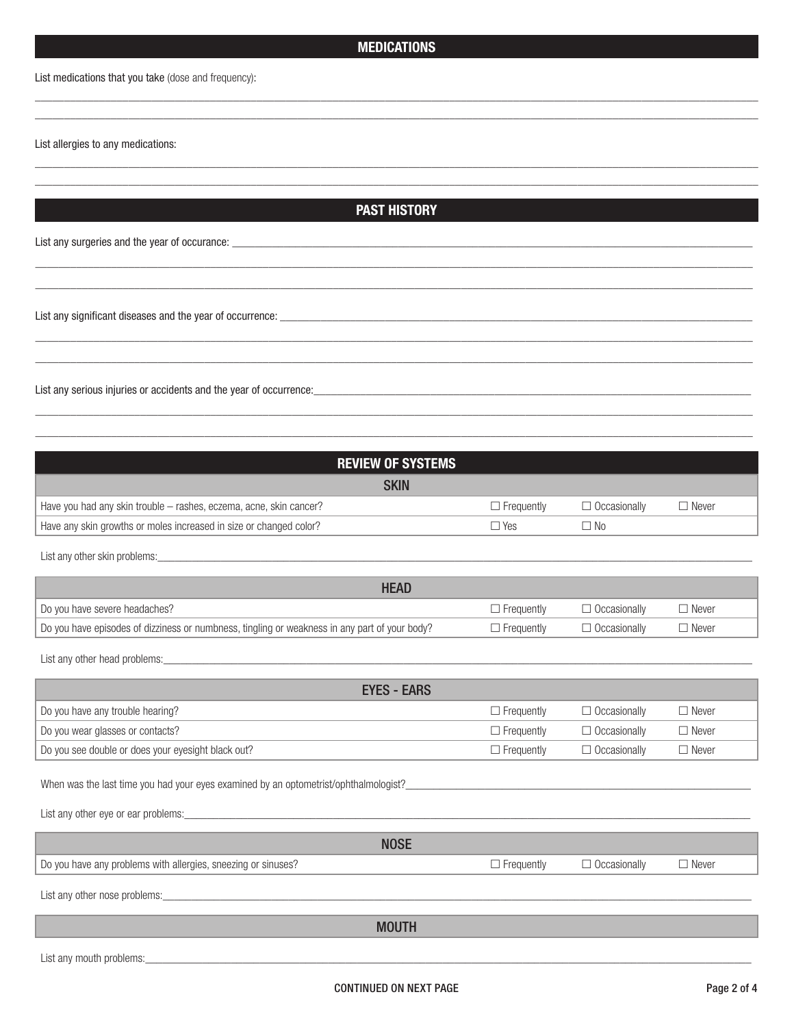## **MEDICATIONS**

\_\_\_\_\_\_\_\_\_\_\_\_\_\_\_\_\_\_\_\_\_\_\_\_\_\_\_\_\_\_\_\_\_\_\_\_\_\_\_\_\_\_\_\_\_\_\_\_\_\_\_\_\_\_\_\_\_\_\_\_\_\_\_\_\_\_\_\_\_\_\_\_\_\_\_\_\_\_\_\_\_\_\_\_\_\_\_\_\_\_\_\_\_\_\_\_\_\_\_\_\_\_\_\_\_\_\_\_\_\_\_\_\_\_\_\_\_\_\_\_\_\_\_\_ \_\_\_\_\_\_\_\_\_\_\_\_\_\_\_\_\_\_\_\_\_\_\_\_\_\_\_\_\_\_\_\_\_\_\_\_\_\_\_\_\_\_\_\_\_\_\_\_\_\_\_\_\_\_\_\_\_\_\_\_\_\_\_\_\_\_\_\_\_\_\_\_\_\_\_\_\_\_\_\_\_\_\_\_\_\_\_\_\_\_\_\_\_\_\_\_\_\_\_\_\_\_\_\_\_\_\_\_\_\_\_\_\_\_\_\_\_\_\_\_\_\_\_\_

List medications that you take (dose and frequency):

List allergies to any medications:

**PAST HISTORY**

\_\_\_\_\_\_\_\_\_\_\_\_\_\_\_\_\_\_\_\_\_\_\_\_\_\_\_\_\_\_\_\_\_\_\_\_\_\_\_\_\_\_\_\_\_\_\_\_\_\_\_\_\_\_\_\_\_\_\_\_\_\_\_\_\_\_\_\_\_\_\_\_\_\_\_\_\_\_\_\_\_\_\_\_\_\_\_\_\_\_\_\_\_\_\_\_\_\_\_\_\_\_\_\_\_\_\_\_\_\_\_\_\_\_\_\_\_\_\_\_\_\_\_\_ \_\_\_\_\_\_\_\_\_\_\_\_\_\_\_\_\_\_\_\_\_\_\_\_\_\_\_\_\_\_\_\_\_\_\_\_\_\_\_\_\_\_\_\_\_\_\_\_\_\_\_\_\_\_\_\_\_\_\_\_\_\_\_\_\_\_\_\_\_\_\_\_\_\_\_\_\_\_\_\_\_\_\_\_\_\_\_\_\_\_\_\_\_\_\_\_\_\_\_\_\_\_\_\_\_\_\_\_\_\_\_\_\_\_\_\_\_\_\_\_\_\_\_\_

\_\_\_\_\_\_\_\_\_\_\_\_\_\_\_\_\_\_\_\_\_\_\_\_\_\_\_\_\_\_\_\_\_\_\_\_\_\_\_\_\_\_\_\_\_\_\_\_\_\_\_\_\_\_\_\_\_\_\_\_\_\_\_\_\_\_\_\_\_\_\_\_\_\_\_\_\_\_\_\_\_\_\_\_\_\_\_\_\_\_\_\_\_\_\_\_\_\_\_\_\_\_\_\_\_\_\_\_\_\_\_\_\_\_\_\_\_\_\_\_\_\_\_ \_\_\_\_\_\_\_\_\_\_\_\_\_\_\_\_\_\_\_\_\_\_\_\_\_\_\_\_\_\_\_\_\_\_\_\_\_\_\_\_\_\_\_\_\_\_\_\_\_\_\_\_\_\_\_\_\_\_\_\_\_\_\_\_\_\_\_\_\_\_\_\_\_\_\_\_\_\_\_\_\_\_\_\_\_\_\_\_\_\_\_\_\_\_\_\_\_\_\_\_\_\_\_\_\_\_\_\_\_\_\_\_\_\_\_\_\_\_\_\_\_\_\_

\_\_\_\_\_\_\_\_\_\_\_\_\_\_\_\_\_\_\_\_\_\_\_\_\_\_\_\_\_\_\_\_\_\_\_\_\_\_\_\_\_\_\_\_\_\_\_\_\_\_\_\_\_\_\_\_\_\_\_\_\_\_\_\_\_\_\_\_\_\_\_\_\_\_\_\_\_\_\_\_\_\_\_\_\_\_\_\_\_\_\_\_\_\_\_\_\_\_\_\_\_\_\_\_\_\_\_\_\_\_\_\_\_\_\_\_\_\_\_\_\_\_\_ \_\_\_\_\_\_\_\_\_\_\_\_\_\_\_\_\_\_\_\_\_\_\_\_\_\_\_\_\_\_\_\_\_\_\_\_\_\_\_\_\_\_\_\_\_\_\_\_\_\_\_\_\_\_\_\_\_\_\_\_\_\_\_\_\_\_\_\_\_\_\_\_\_\_\_\_\_\_\_\_\_\_\_\_\_\_\_\_\_\_\_\_\_\_\_\_\_\_\_\_\_\_\_\_\_\_\_\_\_\_\_\_\_\_\_\_\_\_\_\_\_\_\_

\_\_\_\_\_\_\_\_\_\_\_\_\_\_\_\_\_\_\_\_\_\_\_\_\_\_\_\_\_\_\_\_\_\_\_\_\_\_\_\_\_\_\_\_\_\_\_\_\_\_\_\_\_\_\_\_\_\_\_\_\_\_\_\_\_\_\_\_\_\_\_\_\_\_\_\_\_\_\_\_\_\_\_\_\_\_\_\_\_\_\_\_\_\_\_\_\_\_\_\_\_\_\_\_\_\_\_\_\_\_\_\_\_\_\_\_\_\_\_\_\_\_\_ \_\_\_\_\_\_\_\_\_\_\_\_\_\_\_\_\_\_\_\_\_\_\_\_\_\_\_\_\_\_\_\_\_\_\_\_\_\_\_\_\_\_\_\_\_\_\_\_\_\_\_\_\_\_\_\_\_\_\_\_\_\_\_\_\_\_\_\_\_\_\_\_\_\_\_\_\_\_\_\_\_\_\_\_\_\_\_\_\_\_\_\_\_\_\_\_\_\_\_\_\_\_\_\_\_\_\_\_\_\_\_\_\_\_\_\_\_\_\_\_\_\_\_

List any surgeries and the year of occurance: \_\_\_\_\_\_\_\_\_\_\_\_\_\_\_\_\_\_\_\_\_\_\_\_\_\_\_\_\_\_\_\_\_\_

List any significant diseases and the year of occurrence: \_\_\_\_\_\_\_\_\_\_\_\_\_\_\_\_\_\_\_\_\_\_

List any serious injuries or accidents and the year of occurrence:\_\_\_\_\_\_\_\_\_\_\_\_\_\_\_\_\_\_\_\_\_\_\_\_\_\_\_\_\_\_\_\_\_\_\_\_\_\_\_\_\_\_\_\_\_\_\_\_\_\_\_\_\_\_\_\_\_\_\_\_\_\_\_\_\_\_\_\_\_\_\_\_\_\_\_

| <b>REVIEW OF SYSTEMS</b>                                                                                                                                                                                                       |                   |                     |              |  |  |  |
|--------------------------------------------------------------------------------------------------------------------------------------------------------------------------------------------------------------------------------|-------------------|---------------------|--------------|--|--|--|
| <b>SKIN</b>                                                                                                                                                                                                                    |                   |                     |              |  |  |  |
| Have you had any skin trouble - rashes, eczema, acne, skin cancer?                                                                                                                                                             | $\Box$ Frequently | $\Box$ Occasionally | $\Box$ Never |  |  |  |
| Have any skin growths or moles increased in size or changed color?                                                                                                                                                             | $\Box$ Yes        | $\Box$ No           |              |  |  |  |
|                                                                                                                                                                                                                                |                   |                     |              |  |  |  |
| List any other skin problems: example and a series of the state of the state of the state of the state of the state of the state of the state of the state of the state of the state of the state of the state of the state of |                   |                     |              |  |  |  |
| <b>HEAD</b>                                                                                                                                                                                                                    |                   |                     |              |  |  |  |
| Do you have severe headaches?                                                                                                                                                                                                  | $\Box$ Frequently | $\Box$ Occasionally | $\Box$ Never |  |  |  |
| Do you have episodes of dizziness or numbness, tingling or weakness in any part of your body?                                                                                                                                  | $\Box$ Frequently | $\Box$ Occasionally | $\Box$ Never |  |  |  |
|                                                                                                                                                                                                                                |                   |                     |              |  |  |  |
|                                                                                                                                                                                                                                |                   |                     |              |  |  |  |
| <b>EYES - EARS</b>                                                                                                                                                                                                             |                   |                     |              |  |  |  |
| Do you have any trouble hearing?                                                                                                                                                                                               | $\Box$ Frequently | $\Box$ Occasionally | $\Box$ Never |  |  |  |
| Do you wear glasses or contacts?                                                                                                                                                                                               | $\Box$ Frequently | $\Box$ Occasionally | $\Box$ Never |  |  |  |
| Do you see double or does your eyesight black out?                                                                                                                                                                             | $\Box$ Frequently | $\Box$ Occasionally | $\Box$ Never |  |  |  |
|                                                                                                                                                                                                                                |                   |                     |              |  |  |  |
| When was the last time you had your eyes examined by an optometrist/ophthalmologist?                                                                                                                                           |                   |                     |              |  |  |  |
| List any other eye or ear problems: example and a series of the state of the state of the state of the state of                                                                                                                |                   |                     |              |  |  |  |
| <b>NOSE</b>                                                                                                                                                                                                                    |                   |                     |              |  |  |  |
| Do you have any problems with allergies, sneezing or sinuses?                                                                                                                                                                  | $\Box$ Frequently | $\Box$ Occasionally | $\Box$ Never |  |  |  |
|                                                                                                                                                                                                                                |                   |                     |              |  |  |  |
|                                                                                                                                                                                                                                |                   |                     |              |  |  |  |
| <b>MOUTH</b>                                                                                                                                                                                                                   |                   |                     |              |  |  |  |
|                                                                                                                                                                                                                                |                   |                     |              |  |  |  |
| List any mouth problems:                                                                                                                                                                                                       |                   |                     |              |  |  |  |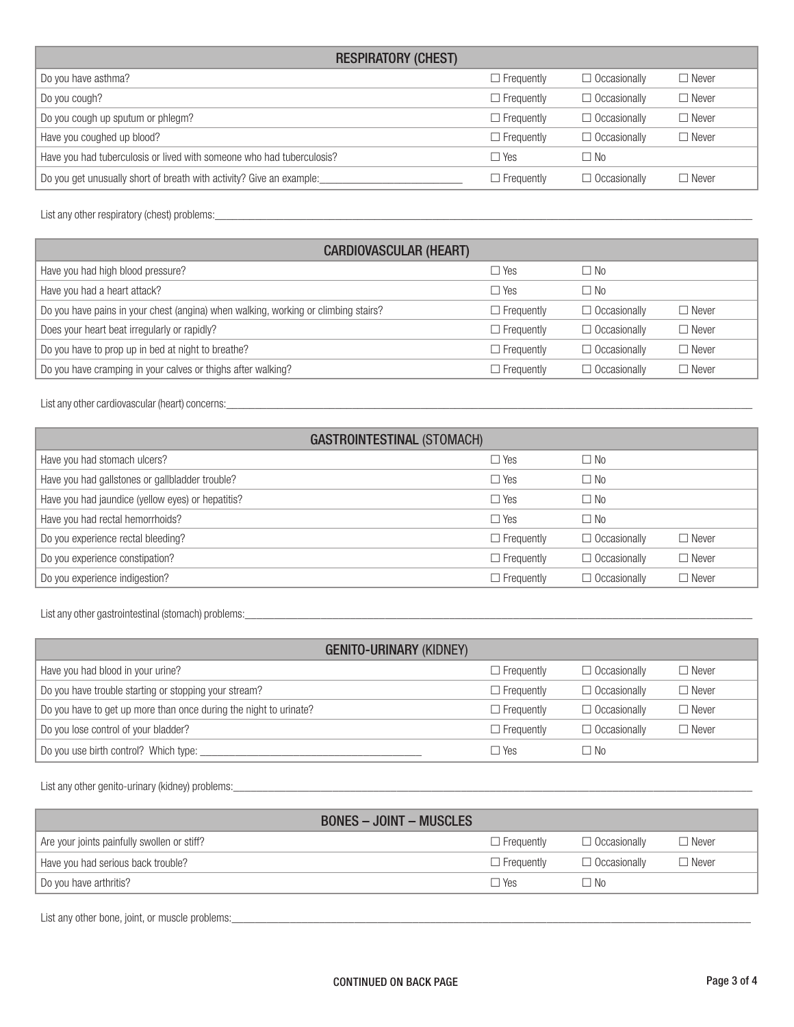| <b>RESPIRATORY (CHEST)</b>                                            |                   |                     |              |
|-----------------------------------------------------------------------|-------------------|---------------------|--------------|
| Do you have asthma?                                                   | $\Box$ Frequently | $\Box$ Occasionally | $\Box$ Never |
| Do you cough?                                                         | $\Box$ Frequently | $\Box$ Occasionally | $\Box$ Never |
| Do you cough up sputum or phlegm?                                     | $\Box$ Frequently | $\Box$ Occasionally | $\Box$ Never |
| Have you coughed up blood?                                            | $\Box$ Frequently | $\Box$ Occasionally | $\Box$ Never |
| Have you had tuberculosis or lived with someone who had tuberculosis? | $\Box$ Yes        | $\Box$ No           |              |
| Do you get unusually short of breath with activity? Give an example:  | $\Box$ Frequently | $\Box$ Occasionally | $\Box$ Never |

List any other respiratory (chest) problems:\_\_\_\_\_\_\_\_\_\_\_\_\_\_\_\_\_\_\_\_\_\_\_\_\_\_\_\_\_\_\_\_\_\_\_\_\_\_\_\_\_\_\_\_\_\_\_\_\_\_\_\_\_\_\_\_\_\_\_\_\_\_\_\_\_\_\_\_\_\_\_\_\_\_\_\_\_\_\_\_\_\_\_\_\_\_\_\_\_\_\_\_\_\_

| <b>CARDIOVASCULAR (HEART)</b>                                                      |                   |                     |              |  |  |
|------------------------------------------------------------------------------------|-------------------|---------------------|--------------|--|--|
| Have you had high blood pressure?                                                  | $\Box$ Yes        | $\square$ No        |              |  |  |
| Have you had a heart attack?                                                       | $\Box$ Yes        | □ No                |              |  |  |
| Do you have pains in your chest (angina) when walking, working or climbing stairs? | $\Box$ Frequently | $\Box$ Occasionally | $\Box$ Never |  |  |
| Does your heart beat irregularly or rapidly?                                       | $\Box$ Frequently | $\Box$ Occasionally | $\Box$ Never |  |  |
| Do you have to prop up in bed at night to breathe?                                 | $\Box$ Frequently | $\Box$ Occasionally | $\Box$ Never |  |  |
| Do you have cramping in your calves or thighs after walking?                       | $\Box$ Frequently | $\Box$ Occasionally | $\Box$ Never |  |  |

List any other cardiovascular (heart) concerns: \_\_\_\_\_\_\_\_\_\_\_\_\_\_\_\_\_\_\_\_\_\_\_\_\_\_\_\_\_\_\_\_\_

| <b>GASTROINTESTINAL (STOMACH)</b>                 |                   |                     |              |  |  |
|---------------------------------------------------|-------------------|---------------------|--------------|--|--|
| Have you had stomach ulcers?                      | $\Box$ Yes        | $\Box$ No           |              |  |  |
| Have you had gallstones or gallbladder trouble?   | $\Box$ Yes        | $\Box$ No           |              |  |  |
| Have you had jaundice (yellow eyes) or hepatitis? | $\Box$ Yes        | $\Box$ No           |              |  |  |
| Have you had rectal hemorrhoids?                  | $\Box$ Yes        | $\Box$ No           |              |  |  |
| Do you experience rectal bleeding?                | $\Box$ Frequently | $\Box$ Occasionally | $\Box$ Never |  |  |
| Do you experience constipation?                   | $\Box$ Frequently | $\Box$ Occasionally | $\Box$ Never |  |  |
| Do you experience indigestion?                    | $\Box$ Frequently | $\Box$ Occasionally | $\Box$ Never |  |  |

List any other gastrointestinal (stomach) problems:\_\_\_\_\_\_\_\_\_\_\_\_\_\_\_\_\_\_\_\_\_\_\_\_\_\_\_\_\_\_\_\_\_\_\_\_\_\_\_\_\_\_\_\_\_\_\_\_\_\_\_\_\_\_\_\_\_\_\_\_\_\_\_\_\_\_\_\_\_\_\_\_\_\_\_\_\_\_\_\_\_\_\_\_\_\_\_

| <b>GENITO-URINARY (KIDNEY)</b>                                    |                   |                     |              |  |  |  |
|-------------------------------------------------------------------|-------------------|---------------------|--------------|--|--|--|
| Have you had blood in your urine?                                 | $\Box$ Frequently | $\Box$ Occasionally | $\Box$ Never |  |  |  |
| Do you have trouble starting or stopping your stream?             | $\Box$ Frequently | $\Box$ Occasionally | $\Box$ Never |  |  |  |
| Do you have to get up more than once during the night to urinate? | $\Box$ Frequently | $\Box$ Occasionally | $\Box$ Never |  |  |  |
| Do you lose control of your bladder?                              | $\Box$ Frequently | $\Box$ Occasionally | $\Box$ Never |  |  |  |
| Do you use birth control? Which type:                             | $\Box$ Yes        | $\Box$ No           |              |  |  |  |

List any other genito-urinary (kidney) problems:\_\_\_\_\_\_\_\_\_\_\_\_\_\_\_\_\_\_\_\_\_\_\_\_\_\_\_\_\_\_\_\_\_\_\_\_\_\_\_\_\_\_\_\_\_\_\_\_\_\_\_\_\_\_\_\_\_\_\_\_\_\_\_\_\_\_\_\_\_\_\_\_\_\_\_\_\_\_\_\_\_\_\_\_\_\_\_\_\_

| <b>BONES – JOINT – MUSCLES</b>              |                   |                     |              |
|---------------------------------------------|-------------------|---------------------|--------------|
| Are your joints painfully swollen or stiff? | $\Box$ Frequently | $\Box$ Occasionally | $\Box$ Never |
| Have you had serious back trouble?          | $\Box$ Frequently | $\Box$ Occasionally | $\Box$ Never |
| Do you have arthritis?                      | $\Box$ Yes        | □ No                |              |

List any other bone, joint, or muscle problems: